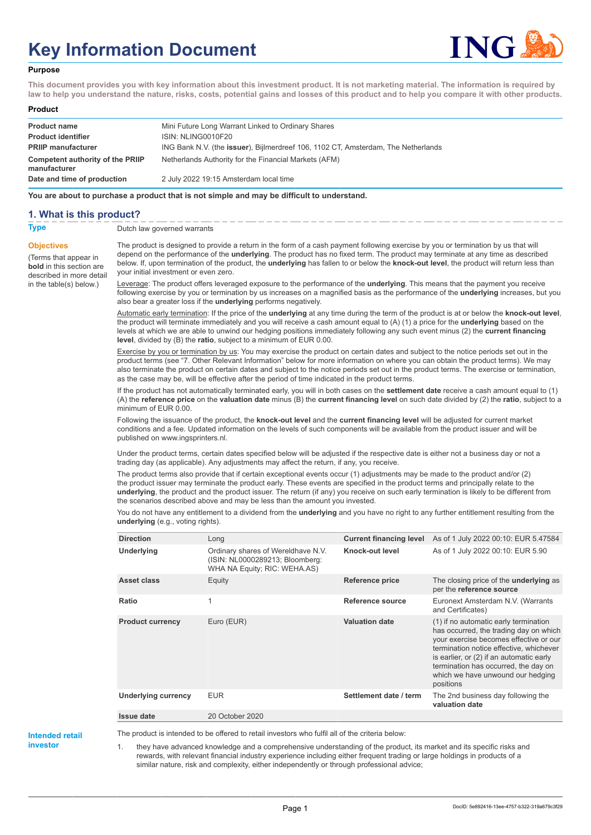# **Key Information Document**



### **Purpose**

**This document provides you with key information about this investment product. It is not marketing material. The information is required by law to help you understand the nature, risks, costs, potential gains and losses of this product and to help you compare it with other products.**

#### **Product**

| <b>Product name</b>                              | Mini Future Long Warrant Linked to Ordinary Shares                                        |
|--------------------------------------------------|-------------------------------------------------------------------------------------------|
| <b>Product identifier</b>                        | ISIN: NLING0010F20                                                                        |
| <b>PRIIP manufacturer</b>                        | ING Bank N.V. (the <b>issuer</b> ), Bijlmerdreef 106, 1102 CT, Amsterdam, The Netherlands |
| Competent authority of the PRIIP<br>manufacturer | Netherlands Authority for the Financial Markets (AFM)                                     |
| Date and time of production                      | 2 July 2022 19:15 Amsterdam local time                                                    |

**You are about to purchase a product that is not simple and may be difficult to understand.**

## **1. What is this product?**

**Objectives**

(Terms that appear in **bold** in this section are

in the table(s) below.)

**Type** Dutch law governed warrants

described in more detail The product is designed to provide a return in the form of a cash payment following exercise by you or termination by us that will depend on the performance of the **underlying**. The product has no fixed term. The product may terminate at any time as described below. If, upon termination of the product, the **underlying** has fallen to or below the **knock-out level**, the product will return less than your initial investment or even zero.

> Leverage: The product offers leveraged exposure to the performance of the **underlying**. This means that the payment you receive following exercise by you or termination by us increases on a magnified basis as the performance of the **underlying** increases, but you also bear a greater loss if the **underlying** performs negatively.

> Automatic early termination: If the price of the **underlying** at any time during the term of the product is at or below the **knock-out level**, the product will terminate immediately and you will receive a cash amount equal to (A) (1) a price for the **underlying** based on the levels at which we are able to unwind our hedging positions immediately following any such event minus (2) the **current financing level**, divided by (B) the **ratio**, subject to a minimum of EUR 0.00.

Exercise by you or termination by us: You may exercise the product on certain dates and subject to the notice periods set out in the product terms (see "7. Other Relevant Information" below for more information on where you can obtain the product terms). We may also terminate the product on certain dates and subject to the notice periods set out in the product terms. The exercise or termination, as the case may be, will be effective after the period of time indicated in the product terms.

If the product has not automatically terminated early, you will in both cases on the **settlement date** receive a cash amount equal to (1) (A) the **reference price** on the **valuation date** minus (B) the **current financing level** on such date divided by (2) the **ratio**, subject to a minimum of EUR 0.00.

Following the issuance of the product, the **knock-out level** and the **current financing level** will be adjusted for current market conditions and a fee. Updated information on the levels of such components will be available from the product issuer and will be published on www.ingsprinters.nl.

Under the product terms, certain dates specified below will be adjusted if the respective date is either not a business day or not a trading day (as applicable). Any adjustments may affect the return, if any, you receive.

The product terms also provide that if certain exceptional events occur (1) adjustments may be made to the product and/or (2) the product issuer may terminate the product early. These events are specified in the product terms and principally relate to the **underlying**, the product and the product issuer. The return (if any) you receive on such early termination is likely to be different from the scenarios described above and may be less than the amount you invested.

You do not have any entitlement to a dividend from the **underlying** and you have no right to any further entitlement resulting from the **underlying** (e.g., voting rights).

| <b>Direction</b>           | Long                                                                                                  | <b>Current financing level</b> | As of 1 July 2022 00:10: EUR 5.47584                                                                                                                                                                                                                                                                       |
|----------------------------|-------------------------------------------------------------------------------------------------------|--------------------------------|------------------------------------------------------------------------------------------------------------------------------------------------------------------------------------------------------------------------------------------------------------------------------------------------------------|
| Underlying                 | Ordinary shares of Wereldhave N.V.<br>(ISIN: NL0000289213; Bloomberg:<br>WHA NA Equity; RIC: WEHA.AS) | Knock-out level                | As of 1 July 2022 00:10: EUR 5.90                                                                                                                                                                                                                                                                          |
| Asset class                | Equity                                                                                                | Reference price                | The closing price of the <b>underlying</b> as<br>per the reference source                                                                                                                                                                                                                                  |
| Ratio                      | 1                                                                                                     | Reference source               | Euronext Amsterdam N.V. (Warrants<br>and Certificates)                                                                                                                                                                                                                                                     |
| <b>Product currency</b>    | Euro (EUR)                                                                                            | <b>Valuation date</b>          | (1) if no automatic early termination<br>has occurred, the trading day on which<br>your exercise becomes effective or our<br>termination notice effective, whichever<br>is earlier, or (2) if an automatic early<br>termination has occurred, the day on<br>which we have unwound our hedging<br>positions |
| <b>Underlying currency</b> | <b>EUR</b>                                                                                            | Settlement date / term         | The 2nd business day following the<br>valuation date                                                                                                                                                                                                                                                       |
| Issue date                 | 20 October 2020                                                                                       |                                |                                                                                                                                                                                                                                                                                                            |

**Intended retail investor**

The product is intended to be offered to retail investors who fulfil all of the criteria below:

1. they have advanced knowledge and a comprehensive understanding of the product, its market and its specific risks and rewards, with relevant financial industry experience including either frequent trading or large holdings in products of a similar nature, risk and complexity, either independently or through professional advice;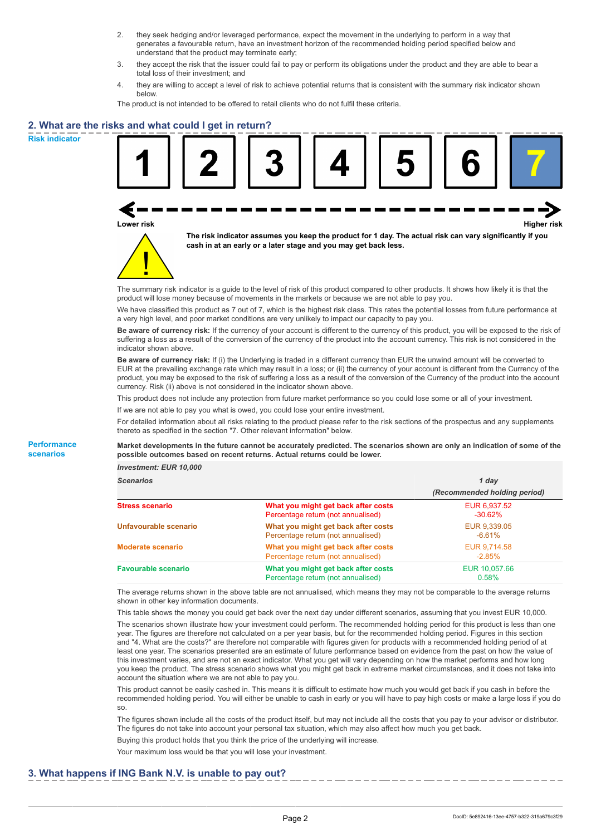- 2. they seek hedging and/or leveraged performance, expect the movement in the underlying to perform in a way that generates a favourable return, have an investment horizon of the recommended holding period specified below and understand that the product may terminate early;
- 3. they accept the risk that the issuer could fail to pay or perform its obligations under the product and they are able to bear a total loss of their investment; and
- 4. they are willing to accept a level of risk to achieve potential returns that is consistent with the summary risk indicator shown below.

The product is not intended to be offered to retail clients who do not fulfil these criteria.

## **2. What are the risks and what could I get in return?**

**Risk indicator**

**Performance scenarios**





**The risk indicator assumes you keep the product for 1 day. The actual risk can vary significantly if you cash in at an early or a later stage and you may get back less.**

The summary risk indicator is a guide to the level of risk of this product compared to other products. It shows how likely it is that the product will lose money because of movements in the markets or because we are not able to pay you.

We have classified this product as 7 out of 7, which is the highest risk class. This rates the potential losses from future performance at a very high level, and poor market conditions are very unlikely to impact our capacity to pay you.

**Be aware of currency risk:** If the currency of your account is different to the currency of this product, you will be exposed to the risk of suffering a loss as a result of the conversion of the currency of the product into the account currency. This risk is not considered in the indicator shown above.

**Be aware of currency risk:** If (i) the Underlying is traded in a different currency than EUR the unwind amount will be converted to EUR at the prevailing exchange rate which may result in a loss; or (ii) the currency of your account is different from the Currency of the product, you may be exposed to the risk of suffering a loss as a result of the conversion of the Currency of the product into the account currency. Risk (ii) above is not considered in the indicator shown above.

This product does not include any protection from future market performance so you could lose some or all of your investment.

If we are not able to pay you what is owed, you could lose your entire investment.

For detailed information about all risks relating to the product please refer to the risk sections of the prospectus and any supplements thereto as specified in the section "7. Other relevant information" below.

#### **Market developments in the future cannot be accurately predicted. The scenarios shown are only an indication of some of the possible outcomes based on recent returns. Actual returns could be lower.**

*Investment: EUR 10,000*

| <b>Scenarios</b>           |                                                                           | 1 day                        |  |
|----------------------------|---------------------------------------------------------------------------|------------------------------|--|
|                            |                                                                           | (Recommended holding period) |  |
| <b>Stress scenario</b>     | What you might get back after costs<br>Percentage return (not annualised) | EUR 6,937.52<br>$-30.62\%$   |  |
| Unfavourable scenario      | What you might get back after costs<br>Percentage return (not annualised) | EUR 9,339.05<br>$-6.61\%$    |  |
| <b>Moderate scenario</b>   | What you might get back after costs<br>Percentage return (not annualised) | EUR 9.714.58<br>$-2.85\%$    |  |
| <b>Favourable scenario</b> | What you might get back after costs<br>Percentage return (not annualised) | EUR 10.057.66<br>0.58%       |  |

The average returns shown in the above table are not annualised, which means they may not be comparable to the average returns shown in other key information documents.

This table shows the money you could get back over the next day under different scenarios, assuming that you invest EUR 10,000. The scenarios shown illustrate how your investment could perform. The recommended holding period for this product is less than one year. The figures are therefore not calculated on a per year basis, but for the recommended holding period. Figures in this section and "4. What are the costs?" are therefore not comparable with figures given for products with a recommended holding period of at least one year. The scenarios presented are an estimate of future performance based on evidence from the past on how the value of this investment varies, and are not an exact indicator. What you get will vary depending on how the market performs and how long you keep the product. The stress scenario shows what you might get back in extreme market circumstances, and it does not take into account the situation where we are not able to pay you.

This product cannot be easily cashed in. This means it is difficult to estimate how much you would get back if you cash in before the recommended holding period. You will either be unable to cash in early or you will have to pay high costs or make a large loss if you do so.

The figures shown include all the costs of the product itself, but may not include all the costs that you pay to your advisor or distributor. The figures do not take into account your personal tax situation, which may also affect how much you get back.

Buying this product holds that you think the price of the underlying will increase.

Your maximum loss would be that you will lose your investment.

## **3. What happens if ING Bank N.V. is unable to pay out?**